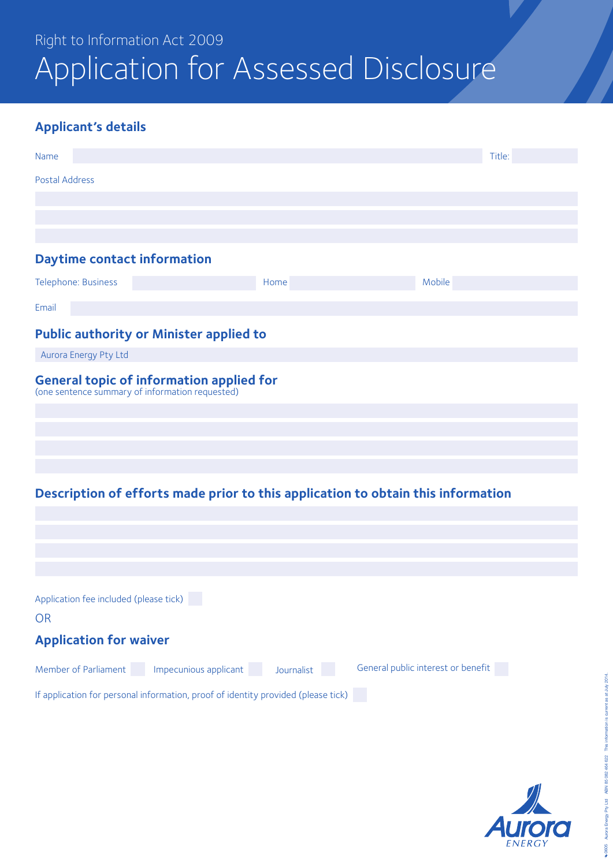## Right to Information Act 2009 Application for Assessed Disclosure

### **Applicant's details**

| Name                                            |                                                                                   |            |                                                                                  | Title: |
|-------------------------------------------------|-----------------------------------------------------------------------------------|------------|----------------------------------------------------------------------------------|--------|
| <b>Postal Address</b>                           |                                                                                   |            |                                                                                  |        |
|                                                 |                                                                                   |            |                                                                                  |        |
|                                                 |                                                                                   |            |                                                                                  |        |
| <b>Daytime contact information</b>              |                                                                                   |            |                                                                                  |        |
| Telephone: Business                             |                                                                                   | Home       | Mobile                                                                           |        |
| Email                                           |                                                                                   |            |                                                                                  |        |
|                                                 | <b>Public authority or Minister applied to</b>                                    |            |                                                                                  |        |
| Aurora Energy Pty Ltd                           |                                                                                   |            |                                                                                  |        |
| (one sentence summary of information requested) | <b>General topic of information applied for</b>                                   |            |                                                                                  |        |
|                                                 |                                                                                   |            |                                                                                  |        |
|                                                 |                                                                                   |            |                                                                                  |        |
|                                                 |                                                                                   |            |                                                                                  |        |
|                                                 |                                                                                   |            | Description of efforts made prior to this application to obtain this information |        |
|                                                 |                                                                                   |            |                                                                                  |        |
|                                                 |                                                                                   |            |                                                                                  |        |
|                                                 |                                                                                   |            |                                                                                  |        |
| Application fee included (please tick)          |                                                                                   |            |                                                                                  |        |
| <b>OR</b>                                       |                                                                                   |            |                                                                                  |        |
| <b>Application for waiver</b>                   |                                                                                   |            |                                                                                  |        |
| Member of Parliament                            | Impecunious applicant                                                             | Journalist | General public interest or benefit                                               |        |
|                                                 | If application for personal information, proof of identity provided (please tick) |            |                                                                                  |        |

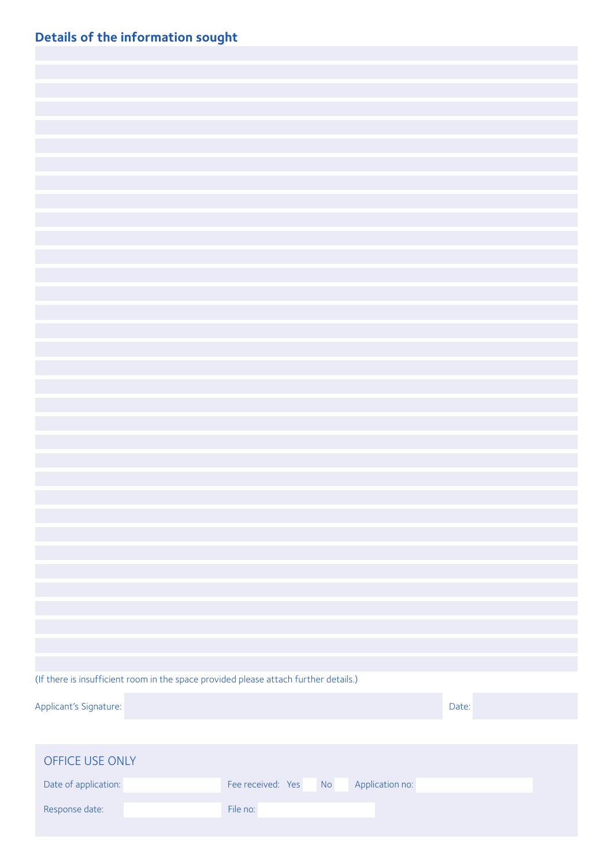|  |  | <b>Details of the information sought</b> |  |
|--|--|------------------------------------------|--|
|--|--|------------------------------------------|--|

|                        | (If there is insufficient room in the space provided please attach further details.) |                   |           |                 |       |  |
|------------------------|--------------------------------------------------------------------------------------|-------------------|-----------|-----------------|-------|--|
| Applicant's Signature: |                                                                                      |                   |           |                 | Date: |  |
|                        |                                                                                      |                   |           |                 |       |  |
| OFFICE USE ONLY        |                                                                                      |                   |           |                 |       |  |
|                        |                                                                                      |                   |           |                 |       |  |
| Date of application:   |                                                                                      | Fee received: Yes | <b>No</b> | Application no: |       |  |
| Response date:         |                                                                                      | File no:          |           |                 |       |  |
|                        |                                                                                      |                   |           |                 |       |  |